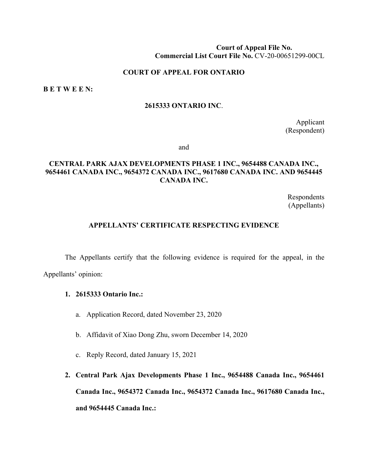#### **Court of Appeal File No. Commercial List Court File No.** CV-20-00651299-00CL

#### **COURT OF APPEAL FOR ONTARIO**

**B E T W E E N:**

#### **2615333 ONTARIO INC**.

Applicant (Respondent)

and

# **CENTRAL PARK AJAX DEVELOPMENTS PHASE 1 INC., 9654488 CANADA INC., 9654461 CANADA INC., 9654372 CANADA INC., 9617680 CANADA INC. AND 9654445 CANADA INC.**

Respondents (Appellants)

#### **APPELLANTS' CERTIFICATE RESPECTING EVIDENCE**

The Appellants certify that the following evidence is required for the appeal, in the Appellants' opinion:

#### **1. 2615333 Ontario Inc.:**

- a. Application Record, dated November 23, 2020
- b. Affidavit of Xiao Dong Zhu, sworn December 14, 2020
- c. Reply Record, dated January 15, 2021
- **2. Central Park Ajax Developments Phase 1 Inc., 9654488 Canada Inc., 9654461 Canada Inc., 9654372 Canada Inc., 9654372 Canada Inc., 9617680 Canada Inc., and 9654445 Canada Inc.:**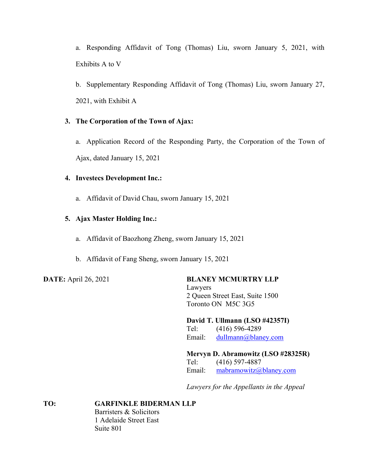a. Responding Affidavit of Tong (Thomas) Liu, sworn January 5, 2021, with Exhibits A to V

b. Supplementary Responding Affidavit of Tong (Thomas) Liu, sworn January 27, 2021, with Exhibit A

# **3. The Corporation of the Town of Ajax:**

a. Application Record of the Responding Party, the Corporation of the Town of Ajax, dated January 15, 2021

# **4. Investecs Development Inc.:**

a. Affidavit of David Chau, sworn January 15, 2021

# **5. Ajax Master Holding Inc.:**

- a. Affidavit of Baozhong Zheng, sworn January 15, 2021
- b. Affidavit of Fang Sheng, sworn January 15, 2021

# **DATE:** April 26, 2021 **BLANEY MCMURTRY LLP**

Lawyers 2 Queen Street East, Suite 1500 Toronto ON M5C 3G5

## **David T. Ullmann (LSO #42357I)**

Tel: (416) 596-4289 Email: [dullmann@blaney.com](mailto:dullmann@blaney.com)

# **Mervyn D. Abramowitz (LSO #28325R)**

Tel: (416) 597-4887 Email: [mabramowitz@blaney.com](mailto:mabramowitz@blaney.com)

*Lawyers for the Appellants in the Appeal*

**TO: GARFINKLE BIDERMAN LLP** Barristers & Solicitors 1 Adelaide Street East Suite 801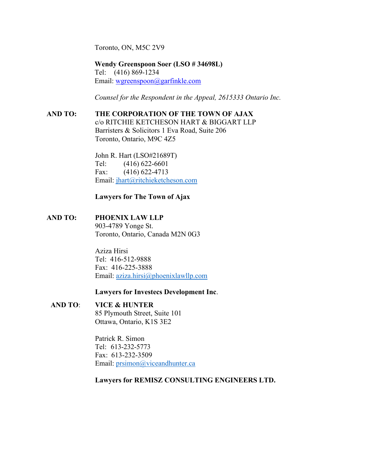Toronto, ON, M5C 2V9

**Wendy Greenspoon Soer (LSO # 34698L)** Tel: (416) 869-1234 Email: [wgreenspoon@garfinkle.com](mailto:wgreenspoon@garfinkle.com)

*Counsel for the Respondent in the Appeal, 2615333 Ontario Inc.*

## **AND TO: THE CORPORATION OF THE TOWN OF AJAX**

c/o RITCHIE KETCHESON HART & BIGGART LLP Barristers & Solicitors 1 Eva Road, Suite 206 Toronto, Ontario, M9C 4Z5

John R. Hart (LSO#21689T) Tel: (416) 622-6601 Fax: (416) 622-4713 Email: [jhart@ritchieketcheson.com](mailto:jhart@ritchieketcheson.com)

#### **Lawyers for The Town of Ajax**

#### **AND TO: PHOENIX LAW LLP**

903-4789 Yonge St. Toronto, Ontario, Canada M2N 0G3

Aziza Hirsi Tel: 416-512-9888 Fax: 416-225-3888 Email: [aziza.hirsi@phoenixlawllp.com](mailto:aziza.hirsi@phoenixlawllp.com)

#### **Lawyers for Investecs Development Inc**.

# **AND TO**: **VICE & HUNTER**

85 Plymouth Street, Suite 101 Ottawa, Ontario, K1S 3E2

Patrick R. Simon Tel: 613-232-5773 Fax: 613-232-3509 Email: [prsimon@viceandhunter.ca](mailto:prsimon@viceandhunter.ca)

#### **Lawyers for REMISZ CONSULTING ENGINEERS LTD.**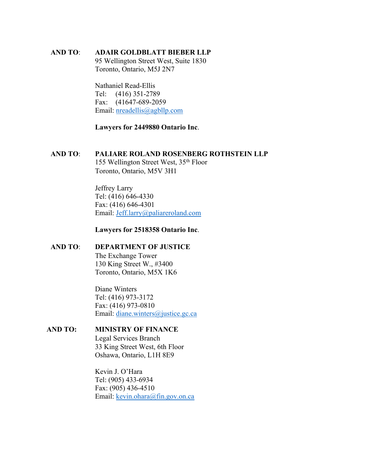#### **AND TO**: **ADAIR GOLDBLATT BIEBER LLP**

95 Wellington Street West, Suite 1830 Toronto, Ontario, M5J 2N7

Nathaniel Read-Ellis Tel: (416) 351-2789 Fax: (41647-689-2059 Email: [nreadellis@agbllp.com](mailto:nreadellis@agbllp.com)

## **Lawyers for 2449880 Ontario Inc**.

# **AND TO**: **PALIARE ROLAND ROSENBERG ROTHSTEIN LLP** 155 Wellington Street West, 35th Floor

Toronto, Ontario, M5V 3H1

Jeffrey Larry Tel: (416) 646-4330 Fax: (416) 646-4301 Email: [Jeff.larry@paliareroland.com](mailto:Jeff.larry@paliareroland.com)

## **Lawyers for 2518358 Ontario Inc**.

## **AND TO**: **DEPARTMENT OF JUSTICE**

The Exchange Tower 130 King Street W., #3400 Toronto, Ontario, M5X 1K6

Diane Winters Tel: (416) 973-3172 Fax: (416) 973-0810 Email: [diane.winters@justice.gc.ca](mailto:diane.winters@justice.gc.ca)

# **AND TO: MINISTRY OF FINANCE**

Legal Services Branch 33 King Street West, 6th Floor Oshawa, Ontario, L1H 8E9

Kevin J. O'Hara Tel: (905) 433-6934 Fax: (905) 436-4510 Email: [kevin.ohara@fin.gov.on.ca](mailto:kevin.ohara@fin.gov.on.ca)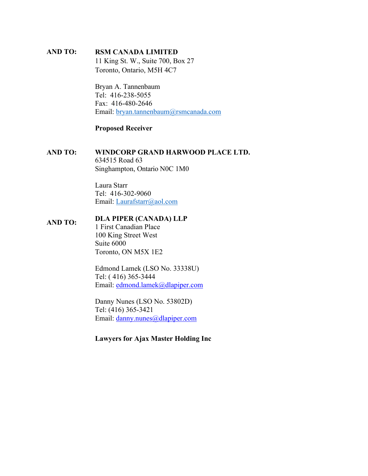### **AND TO: RSM CANADA LIMITED**

11 King St. W., Suite 700, Box 27 Toronto, Ontario, M5H 4C7

Bryan A. Tannenbaum Tel: 416-238-5055 Fax: 416-480-2646 Email: [bryan.tannenbaum@rsmcanada.com](mailto:bryan.tannenbaum@rsmcanada.com)

#### **Proposed Receiver**

## **AND TO: WINDCORP GRAND HARWOOD PLACE LTD.** 634515 Road 63 Singhampton, Ontario N0C 1M0

Laura Starr Tel: 416-302-9060 Email: [Laurafstarr@aol.com](mailto:Laurafstarr@aol.com)

# **AND TO: DLA PIPER (CANADA) LLP**

1 First Canadian Place 100 King Street West Suite 6000 Toronto, ON M5X 1E2

Edmond Lamek (LSO No. 33338U) Tel: ( 416) 365-3444 Email: [edmond.lamek@dlapiper.com](mailto:edmond.lamek@dlapiper.com)

Danny Nunes (LSO No. 53802D) Tel: (416) 365-3421 Email: [danny.nunes@dlapiper.com](mailto:danny.nunes@dlapiper.com)

# **Lawyers for Ajax Master Holding Inc**